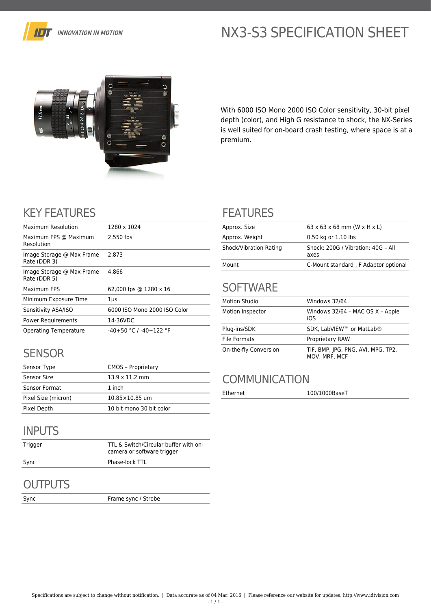

# NX3-S3 SPECIFICATION SHEET



With 6000 ISO Mono 2000 ISO Color sensitivity, 30-bit pixel depth (color), and High G resistance to shock, the NX-Series is well suited for on-board crash testing, where space is at a premium.

# KEY FEATURES

| Maximum Resolution                        | 1280 x 1024                  |
|-------------------------------------------|------------------------------|
| Maximum FPS @ Maximum<br>Resolution       | 2,550 fps                    |
| Image Storage @ Max Frame<br>Rate (DDR 3) | 2.873                        |
| Image Storage @ Max Frame<br>Rate (DDR 5) | 4.866                        |
| Maximum FPS                               | 62,000 fps @ 1280 x 16       |
| Minimum Exposure Time                     | $1\mu s$                     |
| Sensitivity ASA/ISO                       | 6000 ISO Mono 2000 ISO Color |
| Power Requirements                        | 14-36VDC                     |
| Operating Temperature                     | $-40+50$ °C / $-40+122$ °F   |

### **SENSOR**

| Sensor Type         | <b>CMOS - Proprietary</b> |
|---------------------|---------------------------|
| Sensor Size         | $13.9 \times 11.2$ mm     |
| Sensor Format       | 1 inch                    |
| Pixel Size (micron) | $10.85 \times 10.85$ um   |
| Pixel Depth         | 10 bit mono 30 bit color  |

### INPUTS

| Trigger | TTL & Switch/Circular buffer with on-<br>camera or software trigger |
|---------|---------------------------------------------------------------------|
| Sync    | Phase-lock TTL                                                      |

## **OUTPUTS**

Sync Frame sync / Strobe

### FEATURES

| Approx. Size           | $63 \times 63 \times 68$ mm (W $\times$ H $\times$ L) |
|------------------------|-------------------------------------------------------|
| Approx. Weight         | 0.50 kg or 1.10 lbs                                   |
| Shock/Vibration Rating | Shock: 200G / Vibration: 40G - All<br>axes            |
| Mount                  | C-Mount standard, F Adaptor optional                  |

## **SOFTWARE**

| <b>Motion Studio</b>  | Windows 32/64                                       |
|-----------------------|-----------------------------------------------------|
| Motion Inspector      | Windows 32/64 - MAC OS X - Apple<br>iOS             |
| Plug-ins/SDK          | SDK, LabVIEW™ or MatLab®                            |
| <b>File Formats</b>   | <b>Proprietary RAW</b>                              |
| On-the-fly Conversion | TIF, BMP, JPG, PNG, AVI, MPG, TP2,<br>MOV, MRF, MCF |

## **COMMUNICATION**

Ethernet 100/1000BaseT